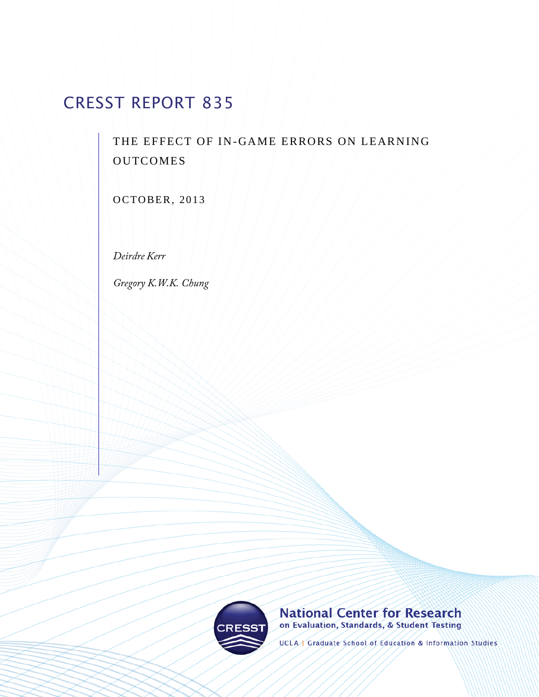# CRESST REPORT 835

THE EFFECT OF IN-GAME ERRORS ON LEARNING **OUTCOMES** 

OCTOBER, 2013

Deirdre Kerr

Gregory K.W.K. Chung



## **National Center for Research** on Evaluation, Standards, & Student Testing

UCLA | Graduate School of Education & Information Studies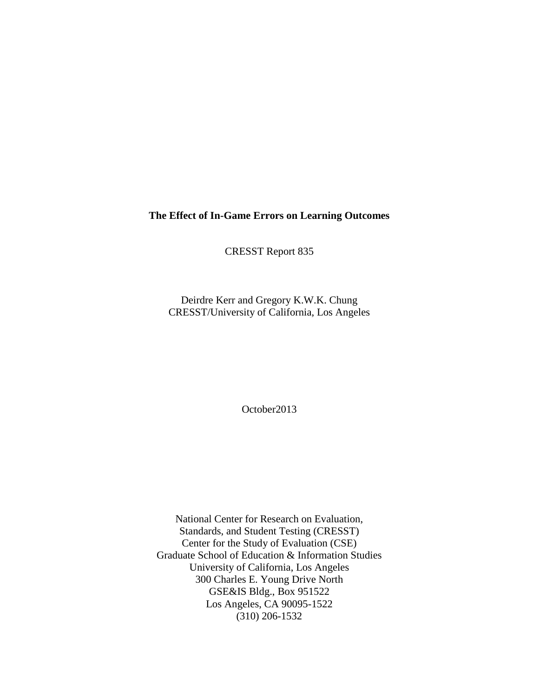## **The Effect of In-Game Errors on Learning Outcomes**

CRESST Report 835

Deirdre Kerr and Gregory K.W.K. Chung CRESST/University of California, Los Angeles

October2013

National Center for Research on Evaluation, Standards, and Student Testing (CRESST) Center for the Study of Evaluation (CSE) Graduate School of Education & Information Studies University of California, Los Angeles 300 Charles E. Young Drive North GSE&IS Bldg., Box 951522 Los Angeles, CA 90095-1522 (310) 206-1532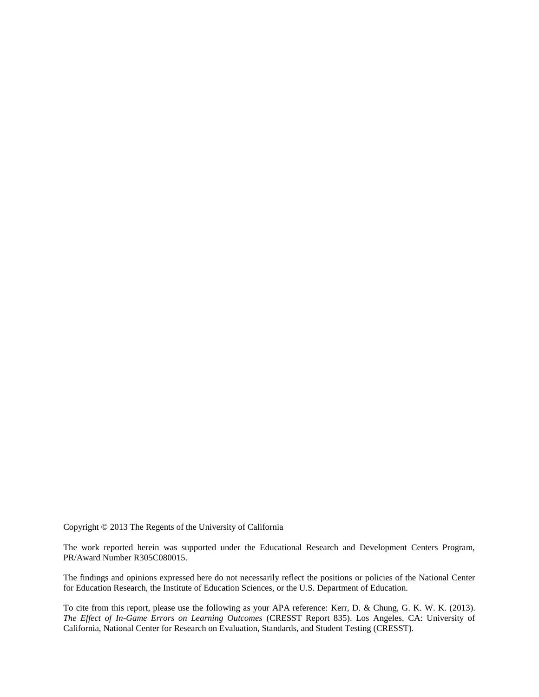Copyright © 2013 The Regents of the University of California

The work reported herein was supported under the Educational Research and Development Centers Program, PR/Award Number R305C080015.

The findings and opinions expressed here do not necessarily reflect the positions or policies of the National Center for Education Research, the Institute of Education Sciences, or the U.S. Department of Education.

To cite from this report, please use the following as your APA reference: Kerr, D. & Chung, G. K. W. K. (2013). *The Effect of In-Game Errors on Learning Outcomes* (CRESST Report 835). Los Angeles, CA: University of California, National Center for Research on Evaluation, Standards, and Student Testing (CRESST).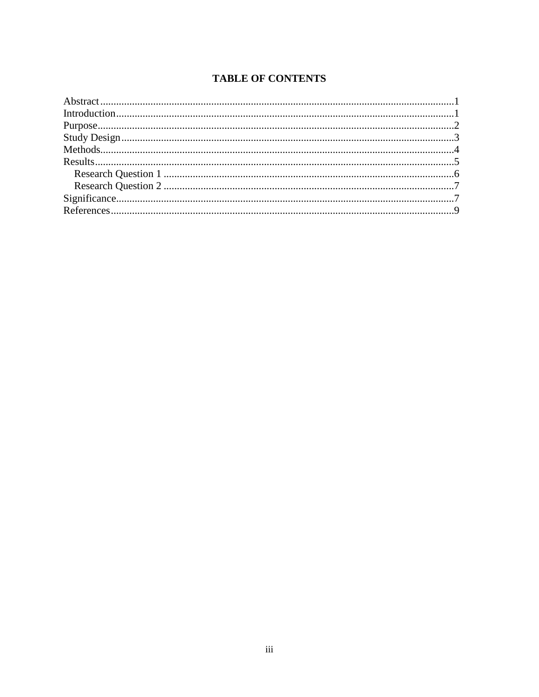# **TABLE OF CONTENTS**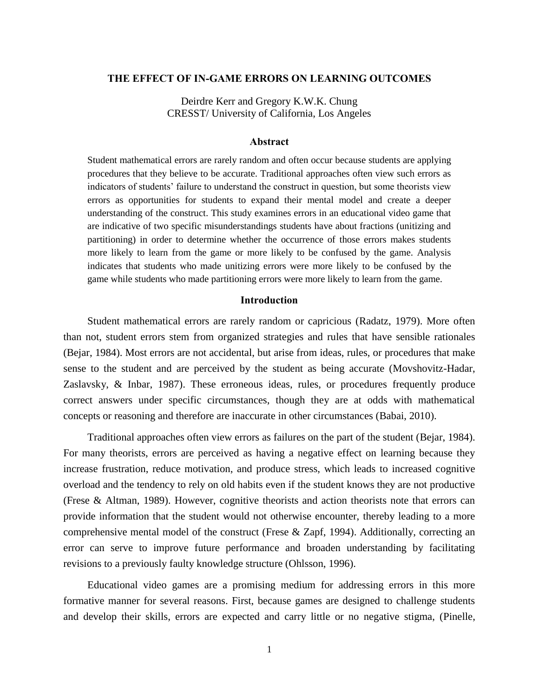#### **THE EFFECT OF IN-GAME ERRORS ON LEARNING OUTCOMES**

Deirdre Kerr and Gregory K.W.K. Chung CRESST/ University of California, Los Angeles

#### **Abstract**

Student mathematical errors are rarely random and often occur because students are applying procedures that they believe to be accurate. Traditional approaches often view such errors as indicators of students' failure to understand the construct in question, but some theorists view errors as opportunities for students to expand their mental model and create a deeper understanding of the construct. This study examines errors in an educational video game that are indicative of two specific misunderstandings students have about fractions (unitizing and partitioning) in order to determine whether the occurrence of those errors makes students more likely to learn from the game or more likely to be confused by the game. Analysis indicates that students who made unitizing errors were more likely to be confused by the game while students who made partitioning errors were more likely to learn from the game.

#### **Introduction**

Student mathematical errors are rarely random or capricious (Radatz, 1979). More often than not, student errors stem from organized strategies and rules that have sensible rationales (Bejar, 1984). Most errors are not accidental, but arise from ideas, rules, or procedures that make sense to the student and are perceived by the student as being accurate (Movshovitz-Hadar, Zaslavsky, & Inbar, 1987). These erroneous ideas, rules, or procedures frequently produce correct answers under specific circumstances, though they are at odds with mathematical concepts or reasoning and therefore are inaccurate in other circumstances (Babai, 2010).

Traditional approaches often view errors as failures on the part of the student (Bejar, 1984). For many theorists, errors are perceived as having a negative effect on learning because they increase frustration, reduce motivation, and produce stress, which leads to increased cognitive overload and the tendency to rely on old habits even if the student knows they are not productive (Frese & Altman, 1989). However, cognitive theorists and action theorists note that errors can provide information that the student would not otherwise encounter, thereby leading to a more comprehensive mental model of the construct (Frese & Zapf, 1994). Additionally, correcting an error can serve to improve future performance and broaden understanding by facilitating revisions to a previously faulty knowledge structure (Ohlsson, 1996).

Educational video games are a promising medium for addressing errors in this more formative manner for several reasons. First, because games are designed to challenge students and develop their skills, errors are expected and carry little or no negative stigma, (Pinelle,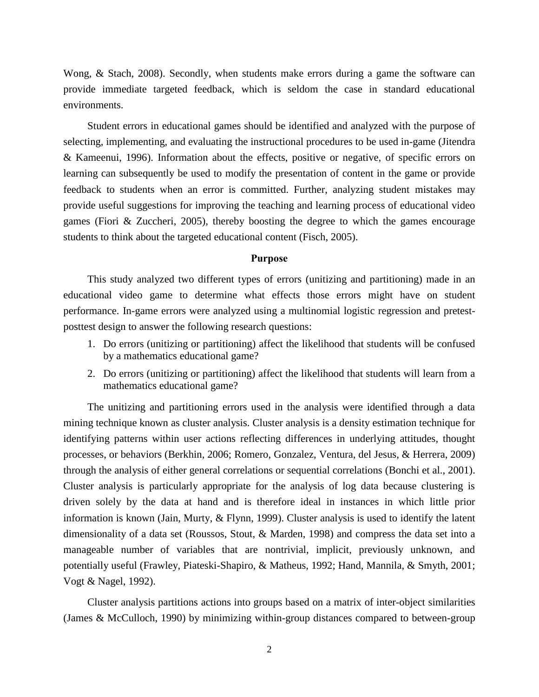Wong, & Stach, 2008). Secondly, when students make errors during a game the software can provide immediate targeted feedback, which is seldom the case in standard educational environments.

Student errors in educational games should be identified and analyzed with the purpose of selecting, implementing, and evaluating the instructional procedures to be used in-game (Jitendra & Kameenui, 1996). Information about the effects, positive or negative, of specific errors on learning can subsequently be used to modify the presentation of content in the game or provide feedback to students when an error is committed. Further, analyzing student mistakes may provide useful suggestions for improving the teaching and learning process of educational video games (Fiori & Zuccheri, 2005), thereby boosting the degree to which the games encourage students to think about the targeted educational content (Fisch, 2005).

#### **Purpose**

This study analyzed two different types of errors (unitizing and partitioning) made in an educational video game to determine what effects those errors might have on student performance. In-game errors were analyzed using a multinomial logistic regression and pretestposttest design to answer the following research questions:

- 1. Do errors (unitizing or partitioning) affect the likelihood that students will be confused by a mathematics educational game?
- 2. Do errors (unitizing or partitioning) affect the likelihood that students will learn from a mathematics educational game?

The unitizing and partitioning errors used in the analysis were identified through a data mining technique known as cluster analysis. Cluster analysis is a density estimation technique for identifying patterns within user actions reflecting differences in underlying attitudes, thought processes, or behaviors (Berkhin, 2006; Romero, Gonzalez, Ventura, del Jesus, & Herrera, 2009) through the analysis of either general correlations or sequential correlations (Bonchi et al., 2001). Cluster analysis is particularly appropriate for the analysis of log data because clustering is driven solely by the data at hand and is therefore ideal in instances in which little prior information is known (Jain, Murty, & Flynn, 1999). Cluster analysis is used to identify the latent dimensionality of a data set (Roussos, Stout, & Marden, 1998) and compress the data set into a manageable number of variables that are nontrivial, implicit, previously unknown, and potentially useful (Frawley, Piateski-Shapiro, & Matheus, 1992; Hand, Mannila, & Smyth, 2001; Vogt & Nagel, 1992).

Cluster analysis partitions actions into groups based on a matrix of inter-object similarities (James & McCulloch, 1990) by minimizing within-group distances compared to between-group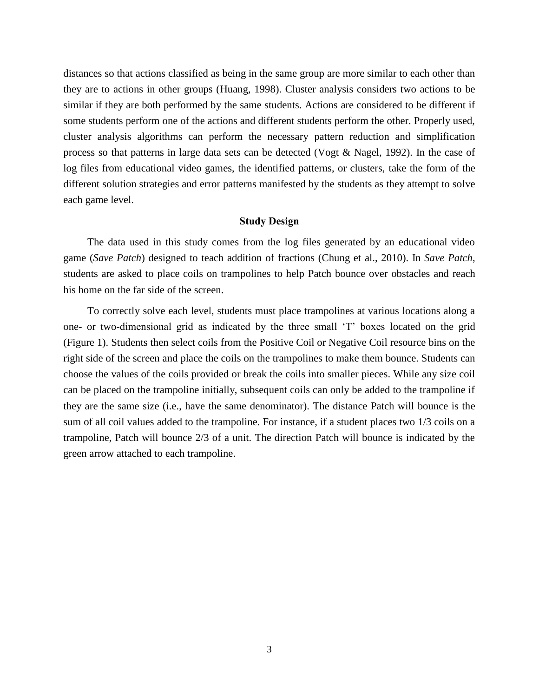distances so that actions classified as being in the same group are more similar to each other than they are to actions in other groups (Huang, 1998). Cluster analysis considers two actions to be similar if they are both performed by the same students. Actions are considered to be different if some students perform one of the actions and different students perform the other. Properly used, cluster analysis algorithms can perform the necessary pattern reduction and simplification process so that patterns in large data sets can be detected (Vogt & Nagel, 1992). In the case of log files from educational video games, the identified patterns, or clusters, take the form of the different solution strategies and error patterns manifested by the students as they attempt to solve each game level.

#### **Study Design**

The data used in this study comes from the log files generated by an educational video game (*Save Patch*) designed to teach addition of fractions (Chung et al., 2010). In *Save Patch*, students are asked to place coils on trampolines to help Patch bounce over obstacles and reach his home on the far side of the screen.

To correctly solve each level, students must place trampolines at various locations along a one- or two-dimensional grid as indicated by the three small 'T' boxes located on the grid (Figure 1). Students then select coils from the Positive Coil or Negative Coil resource bins on the right side of the screen and place the coils on the trampolines to make them bounce. Students can choose the values of the coils provided or break the coils into smaller pieces. While any size coil can be placed on the trampoline initially, subsequent coils can only be added to the trampoline if they are the same size (i.e., have the same denominator). The distance Patch will bounce is the sum of all coil values added to the trampoline. For instance, if a student places two 1/3 coils on a trampoline, Patch will bounce 2/3 of a unit. The direction Patch will bounce is indicated by the green arrow attached to each trampoline.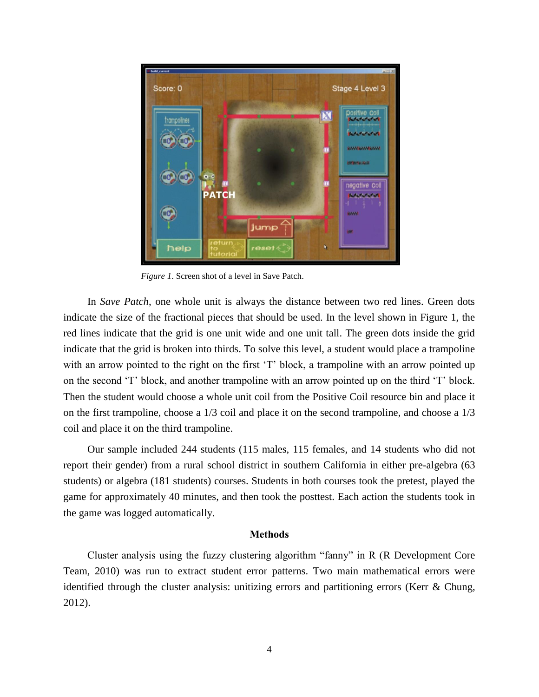

*Figure 1*. Screen shot of a level in Save Patch.

In *Save Patch*, one whole unit is always the distance between two red lines. Green dots indicate the size of the fractional pieces that should be used. In the level shown in Figure 1, the red lines indicate that the grid is one unit wide and one unit tall. The green dots inside the grid indicate that the grid is broken into thirds. To solve this level, a student would place a trampoline with an arrow pointed to the right on the first 'T' block, a trampoline with an arrow pointed up on the second 'T' block, and another trampoline with an arrow pointed up on the third 'T' block. Then the student would choose a whole unit coil from the Positive Coil resource bin and place it on the first trampoline, choose a 1/3 coil and place it on the second trampoline, and choose a 1/3 coil and place it on the third trampoline.

Our sample included 244 students (115 males, 115 females, and 14 students who did not report their gender) from a rural school district in southern California in either pre-algebra (63 students) or algebra (181 students) courses. Students in both courses took the pretest, played the game for approximately 40 minutes, and then took the posttest. Each action the students took in the game was logged automatically.

#### **Methods**

Cluster analysis using the fuzzy clustering algorithm "fanny" in R (R Development Core Team, 2010) was run to extract student error patterns. Two main mathematical errors were identified through the cluster analysis: unitizing errors and partitioning errors (Kerr & Chung, 2012).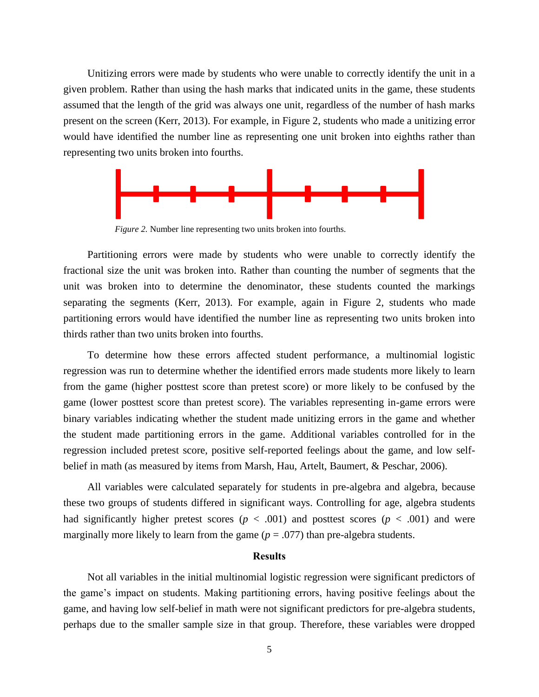Unitizing errors were made by students who were unable to correctly identify the unit in a given problem. Rather than using the hash marks that indicated units in the game, these students assumed that the length of the grid was always one unit, regardless of the number of hash marks present on the screen (Kerr, 2013). For example, in Figure 2, students who made a unitizing error would have identified the number line as representing one unit broken into eighths rather than representing two units broken into fourths.



*Figure 2.* Number line representing two units broken into fourths.

Partitioning errors were made by students who were unable to correctly identify the fractional size the unit was broken into. Rather than counting the number of segments that the unit was broken into to determine the denominator, these students counted the markings separating the segments (Kerr, 2013). For example, again in Figure 2, students who made partitioning errors would have identified the number line as representing two units broken into thirds rather than two units broken into fourths.

To determine how these errors affected student performance, a multinomial logistic regression was run to determine whether the identified errors made students more likely to learn from the game (higher posttest score than pretest score) or more likely to be confused by the game (lower posttest score than pretest score). The variables representing in-game errors were binary variables indicating whether the student made unitizing errors in the game and whether the student made partitioning errors in the game. Additional variables controlled for in the regression included pretest score, positive self-reported feelings about the game, and low selfbelief in math (as measured by items from Marsh, Hau, Artelt, Baumert, & Peschar, 2006).

All variables were calculated separately for students in pre-algebra and algebra, because these two groups of students differed in significant ways. Controlling for age, algebra students had significantly higher pretest scores ( $p < .001$ ) and posttest scores ( $p < .001$ ) and were marginally more likely to learn from the game  $(p = .077)$  than pre-algebra students.

#### **Results**

Not all variables in the initial multinomial logistic regression were significant predictors of the game's impact on students. Making partitioning errors, having positive feelings about the game, and having low self-belief in math were not significant predictors for pre-algebra students, perhaps due to the smaller sample size in that group. Therefore, these variables were dropped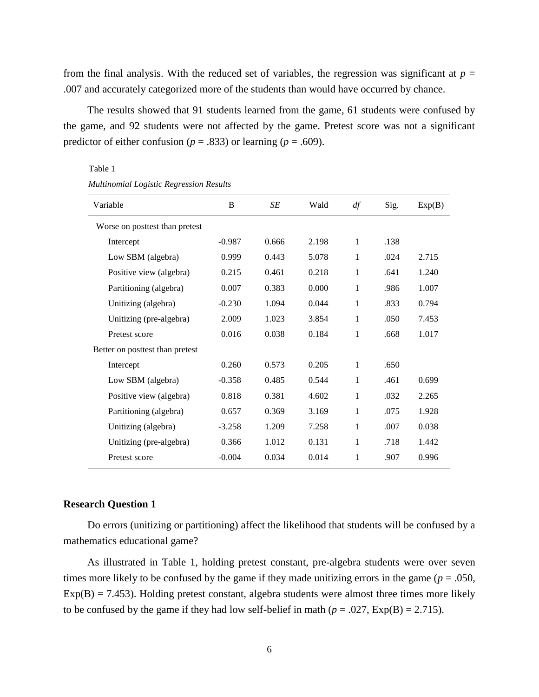from the final analysis. With the reduced set of variables, the regression was significant at  $p =$ .007 and accurately categorized more of the students than would have occurred by chance.

The results showed that 91 students learned from the game, 61 students were confused by the game, and 92 students were not affected by the game. Pretest score was not a significant predictor of either confusion ( $p = .833$ ) or learning ( $p = .609$ ).

Table 1

| Variable                        | B        | SE    | Wald  | df           | Sig. | Exp(B) |
|---------------------------------|----------|-------|-------|--------------|------|--------|
| Worse on posttest than pretest  |          |       |       |              |      |        |
| Intercept                       | $-0.987$ | 0.666 | 2.198 | 1            | .138 |        |
| Low SBM (algebra)               | 0.999    | 0.443 | 5.078 | 1            | .024 | 2.715  |
| Positive view (algebra)         | 0.215    | 0.461 | 0.218 | $\mathbf{1}$ | .641 | 1.240  |
| Partitioning (algebra)          | 0.007    | 0.383 | 0.000 | 1            | .986 | 1.007  |
| Unitizing (algebra)             | $-0.230$ | 1.094 | 0.044 | 1            | .833 | 0.794  |
| Unitizing (pre-algebra)         | 2.009    | 1.023 | 3.854 | 1            | .050 | 7.453  |
| Pretest score                   | 0.016    | 0.038 | 0.184 | 1            | .668 | 1.017  |
| Better on posttest than pretest |          |       |       |              |      |        |
| Intercept                       | 0.260    | 0.573 | 0.205 | 1            | .650 |        |
| Low SBM (algebra)               | $-0.358$ | 0.485 | 0.544 | 1            | .461 | 0.699  |
| Positive view (algebra)         | 0.818    | 0.381 | 4.602 | 1            | .032 | 2.265  |
| Partitioning (algebra)          | 0.657    | 0.369 | 3.169 | 1            | .075 | 1.928  |
| Unitizing (algebra)             | $-3.258$ | 1.209 | 7.258 | 1            | .007 | 0.038  |
| Unitizing (pre-algebra)         | 0.366    | 1.012 | 0.131 | 1            | .718 | 1.442  |
| Pretest score                   | $-0.004$ | 0.034 | 0.014 | 1            | .907 | 0.996  |
|                                 |          |       |       |              |      |        |

*Multinomial Logistic Regression Results*

#### **Research Question 1**

Do errors (unitizing or partitioning) affect the likelihood that students will be confused by a mathematics educational game?

As illustrated in Table 1, holding pretest constant, pre-algebra students were over seven times more likely to be confused by the game if they made unitizing errors in the game ( $p = .050$ ,  $Exp(B) = 7.453$ ). Holding pretest constant, algebra students were almost three times more likely to be confused by the game if they had low self-belief in math ( $p = .027$ ,  $Exp(B) = 2.715$ ).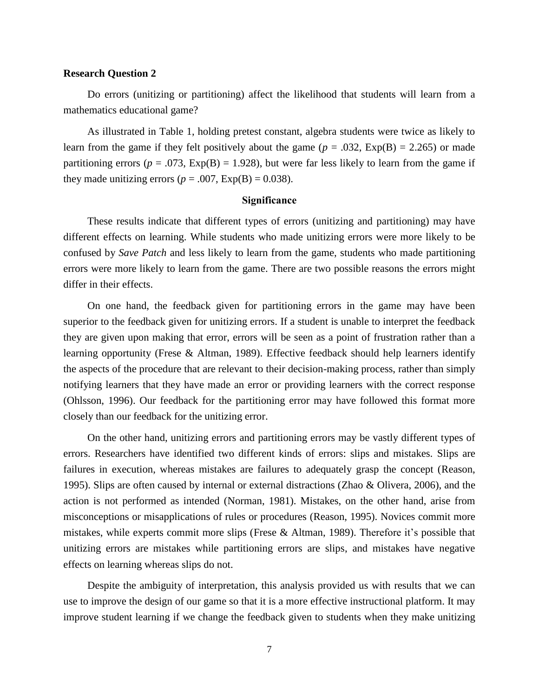#### **Research Question 2**

Do errors (unitizing or partitioning) affect the likelihood that students will learn from a mathematics educational game?

As illustrated in Table 1, holding pretest constant, algebra students were twice as likely to learn from the game if they felt positively about the game  $(p = .032, \text{Exp(B)} = 2.265)$  or made partitioning errors ( $p = .073$ ,  $Exp(B) = 1.928$ ), but were far less likely to learn from the game if they made unitizing errors ( $p = .007$ ,  $Exp(B) = 0.038$ ).

#### **Significance**

These results indicate that different types of errors (unitizing and partitioning) may have different effects on learning. While students who made unitizing errors were more likely to be confused by *Save Patch* and less likely to learn from the game, students who made partitioning errors were more likely to learn from the game. There are two possible reasons the errors might differ in their effects.

On one hand, the feedback given for partitioning errors in the game may have been superior to the feedback given for unitizing errors. If a student is unable to interpret the feedback they are given upon making that error, errors will be seen as a point of frustration rather than a learning opportunity (Frese & Altman, 1989). Effective feedback should help learners identify the aspects of the procedure that are relevant to their decision-making process, rather than simply notifying learners that they have made an error or providing learners with the correct response (Ohlsson, 1996). Our feedback for the partitioning error may have followed this format more closely than our feedback for the unitizing error.

On the other hand, unitizing errors and partitioning errors may be vastly different types of errors. Researchers have identified two different kinds of errors: slips and mistakes. Slips are failures in execution, whereas mistakes are failures to adequately grasp the concept (Reason, 1995). Slips are often caused by internal or external distractions (Zhao & Olivera, 2006), and the action is not performed as intended (Norman, 1981). Mistakes, on the other hand, arise from misconceptions or misapplications of rules or procedures (Reason, 1995). Novices commit more mistakes, while experts commit more slips (Frese & Altman, 1989). Therefore it's possible that unitizing errors are mistakes while partitioning errors are slips, and mistakes have negative effects on learning whereas slips do not.

Despite the ambiguity of interpretation, this analysis provided us with results that we can use to improve the design of our game so that it is a more effective instructional platform. It may improve student learning if we change the feedback given to students when they make unitizing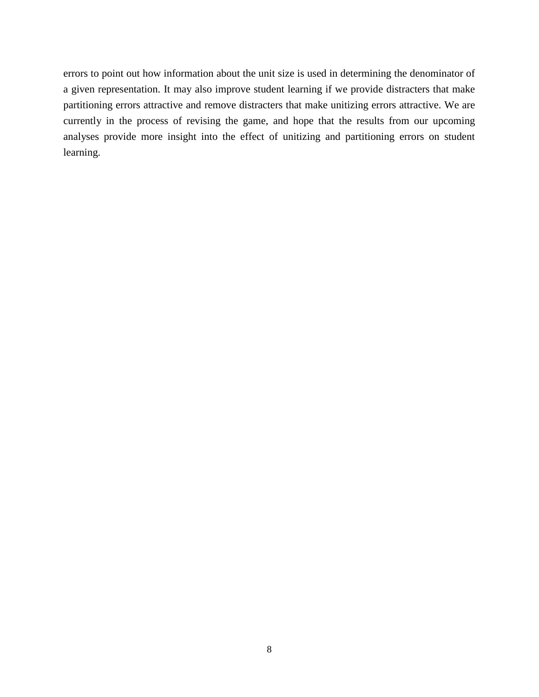errors to point out how information about the unit size is used in determining the denominator of a given representation. It may also improve student learning if we provide distracters that make partitioning errors attractive and remove distracters that make unitizing errors attractive. We are currently in the process of revising the game, and hope that the results from our upcoming analyses provide more insight into the effect of unitizing and partitioning errors on student learning.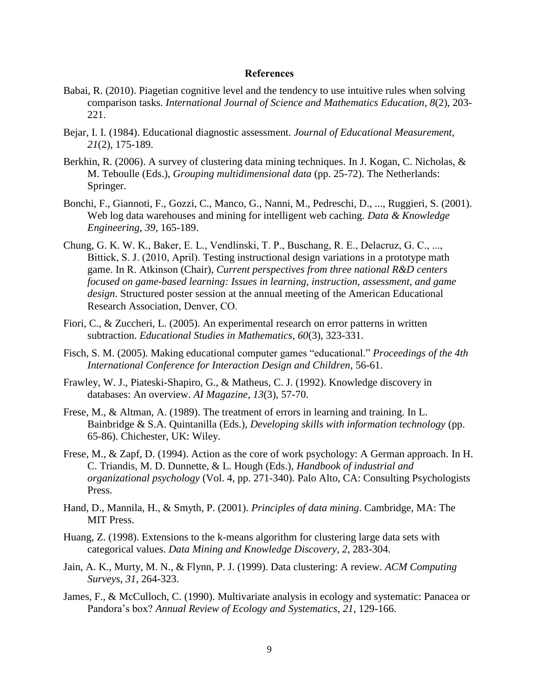#### **References**

- Babai, R. (2010). Piagetian cognitive level and the tendency to use intuitive rules when solving comparison tasks. *International Journal of Science and Mathematics Education*, *8*(2), 203- 221.
- Bejar, I. I. (1984). Educational diagnostic assessment. *Journal of Educational Measurement*, *21*(2), 175-189.
- Berkhin, R. (2006). A survey of clustering data mining techniques. In J. Kogan, C. Nicholas, & M. Teboulle (Eds.), *Grouping multidimensional data* (pp. 25-72). The Netherlands: Springer.
- Bonchi, F., Giannoti, F., Gozzi, C., Manco, G., Nanni, M., Pedreschi, D., ..., Ruggieri, S. (2001). Web log data warehouses and mining for intelligent web caching. *Data & Knowledge Engineering*, *39,* 165-189.
- Chung, G. K. W. K., Baker, E. L., Vendlinski, T. P., Buschang, R. E., Delacruz, G. C., ..., Bittick, S. J. (2010, April). Testing instructional design variations in a prototype math game. In R. Atkinson (Chair), *Current perspectives from three national R&D centers focused on game-based learning: Issues in learning, instruction, assessment, and game design*. Structured poster session at the annual meeting of the American Educational Research Association, Denver, CO.
- Fiori, C., & Zuccheri, L. (2005). An experimental research on error patterns in written subtraction. *Educational Studies in Mathematics*, *60*(3), 323-331.
- Fisch, S. M. (2005). Making educational computer games "educational." *Proceedings of the 4th International Conference for Interaction Design and Children,* 56-61.
- Frawley, W. J., Piateski-Shapiro, G., & Matheus, C. J. (1992). Knowledge discovery in databases: An overview. *AI Magazine*, *13*(3), 57-70.
- Frese, M., & Altman, A. (1989). The treatment of errors in learning and training. In L. Bainbridge & S.A. Quintanilla (Eds.), *Developing skills with information technology* (pp. 65-86). Chichester, UK: Wiley.
- Frese, M., & Zapf, D. (1994). Action as the core of work psychology: A German approach. In H. C. Triandis, M. D. Dunnette, & L. Hough (Eds.), *Handbook of industrial and organizational psychology* (Vol. 4, pp. 271-340). Palo Alto, CA: Consulting Psychologists Press.
- Hand, D., Mannila, H., & Smyth, P. (2001). *Principles of data mining*. Cambridge, MA: The MIT Press.
- Huang, Z. (1998). Extensions to the k-means algorithm for clustering large data sets with categorical values. *Data Mining and Knowledge Discovery*, *2*, 283-304.
- Jain, A. K., Murty, M. N., & Flynn, P. J. (1999). Data clustering: A review. *ACM Computing Surveys*, *31*, 264-323.
- James, F., & McCulloch, C. (1990). Multivariate analysis in ecology and systematic: Panacea or Pandora's box? *Annual Review of Ecology and Systematics*, *21*, 129-166.